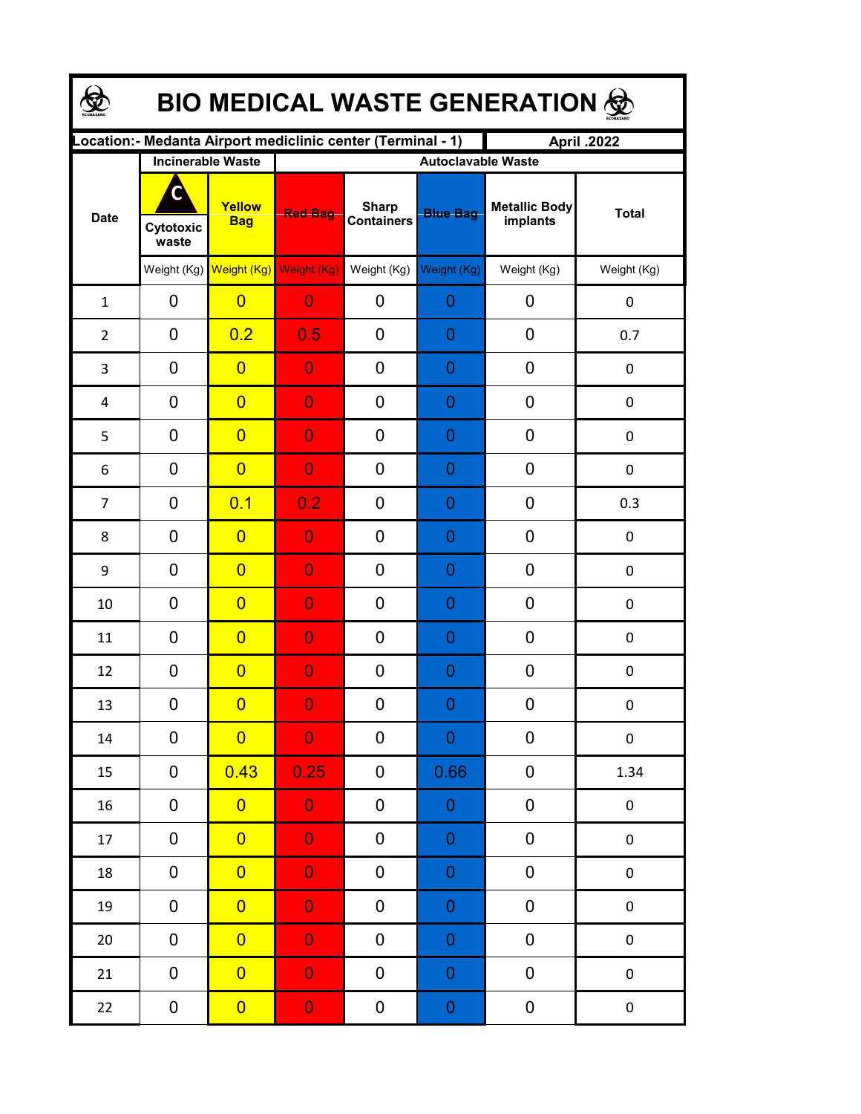| BIO MEDICAL WASTE GENERATION & |                    |                                     |                                                              |                                   |                  |                                  |              |  |  |  |
|--------------------------------|--------------------|-------------------------------------|--------------------------------------------------------------|-----------------------------------|------------------|----------------------------------|--------------|--|--|--|
|                                |                    |                                     | Location: - Medanta Airport mediclinic center (Terminal - 1) |                                   |                  | April .2022                      |              |  |  |  |
| <b>Date</b>                    |                    | <b>Incinerable Waste</b>            | <b>Autoclavable Waste</b>                                    |                                   |                  |                                  |              |  |  |  |
|                                | Cytotoxic<br>waste | Yellow<br><b>Bag</b>                | <b>Red Bag</b>                                               | <b>Sharp</b><br><b>Containers</b> | <b>Blue Bag</b>  | <b>Metallic Body</b><br>implants | <b>Total</b> |  |  |  |
|                                |                    | Weight (Kg) Weight (Kg) Weight (Kg) |                                                              | Weight (Kg)                       | Weight (Kg)      | Weight (Kg)                      | Weight (Kg)  |  |  |  |
| $\mathbf{1}$                   | 0                  | $\overline{0}$                      | $\overline{0}$                                               | 0                                 | 0                | 0                                | 0            |  |  |  |
| $\overline{2}$                 | 0                  | 0.2                                 | 0.5                                                          | 0                                 | 0                | 0                                | 0.7          |  |  |  |
| 3                              | 0                  | $\overline{0}$                      | $\overline{0}$                                               | 0                                 | 0                | 0                                | 0            |  |  |  |
| 4                              | 0                  | $\overline{0}$                      | $\overline{0}$                                               | 0                                 | 0                | 0                                | $\mathbf 0$  |  |  |  |
| 5                              | 0                  | $\overline{0}$                      | $\overline{0}$                                               | 0                                 | 0                | 0                                | $\pmb{0}$    |  |  |  |
| 6                              | 0                  | $\overline{0}$                      | $\overline{0}$                                               | 0                                 | 0                | 0                                | 0            |  |  |  |
| $\overline{7}$                 | 0                  | 0.1                                 | 0.2                                                          | 0                                 | 0                | 0                                | 0.3          |  |  |  |
| 8                              | 0                  | $\overline{0}$                      | $\overline{0}$                                               | 0                                 | 0                | 0                                | 0            |  |  |  |
| 9                              | 0                  | $\overline{0}$                      | $\overline{0}$                                               | $\overline{0}$                    | 0                | 0                                | 0            |  |  |  |
| 10                             | 0                  | $\overline{0}$                      | $\overline{0}$                                               | 0                                 | 0                | 0                                | 0            |  |  |  |
| 11                             | 0                  | $\overline{0}$                      | $\overline{0}$                                               | 0                                 | 0                | 0                                | 0            |  |  |  |
| 12                             | 0                  | $\overline{0}$                      | $\overline{0}$                                               | 0                                 | 0                | 0                                | 0            |  |  |  |
| 13                             | 0                  | $\overline{0}$                      | $\Omega$                                                     | 0                                 | $\Omega$         | $\boldsymbol{0}$                 | 0            |  |  |  |
| 14                             | 0                  | $\overline{0}$                      | $\overline{0}$                                               | 0                                 | $\boldsymbol{0}$ | 0                                | $\pmb{0}$    |  |  |  |
| 15                             | 0                  | 0.43                                | 0.25                                                         | 0                                 | 0.66             | 0                                | 1.34         |  |  |  |
| 16                             | 0                  | $\overline{0}$                      | $\overline{0}$                                               | 0                                 | $\boldsymbol{0}$ | 0                                | $\pmb{0}$    |  |  |  |
| 17                             | 0                  | $\overline{0}$                      | $\overline{0}$                                               | 0                                 | $\mathbf 0$      | 0                                | $\pmb{0}$    |  |  |  |
| 18                             | 0                  | $\overline{0}$                      | $\overline{0}$                                               | 0                                 | $\mathbf 0$      | $\pmb{0}$                        | $\pmb{0}$    |  |  |  |
| 19                             | $\mathbf 0$        | $\overline{0}$                      | $\overline{0}$                                               | 0                                 | $\mathbf 0$      | $\pmb{0}$                        | $\pmb{0}$    |  |  |  |
| 20                             | 0                  | $\overline{0}$                      | $\overline{0}$                                               | 0                                 | $\boldsymbol{0}$ | 0                                | $\pmb{0}$    |  |  |  |
| 21                             | 0                  | $\overline{0}$                      | $\overline{0}$                                               | 0                                 | $\boldsymbol{0}$ | 0                                | $\pmb{0}$    |  |  |  |
| 22                             | 0                  | $\overline{0}$                      | $\mathbf{0}$                                                 | 0                                 | $\boldsymbol{0}$ | 0                                | $\pmb{0}$    |  |  |  |